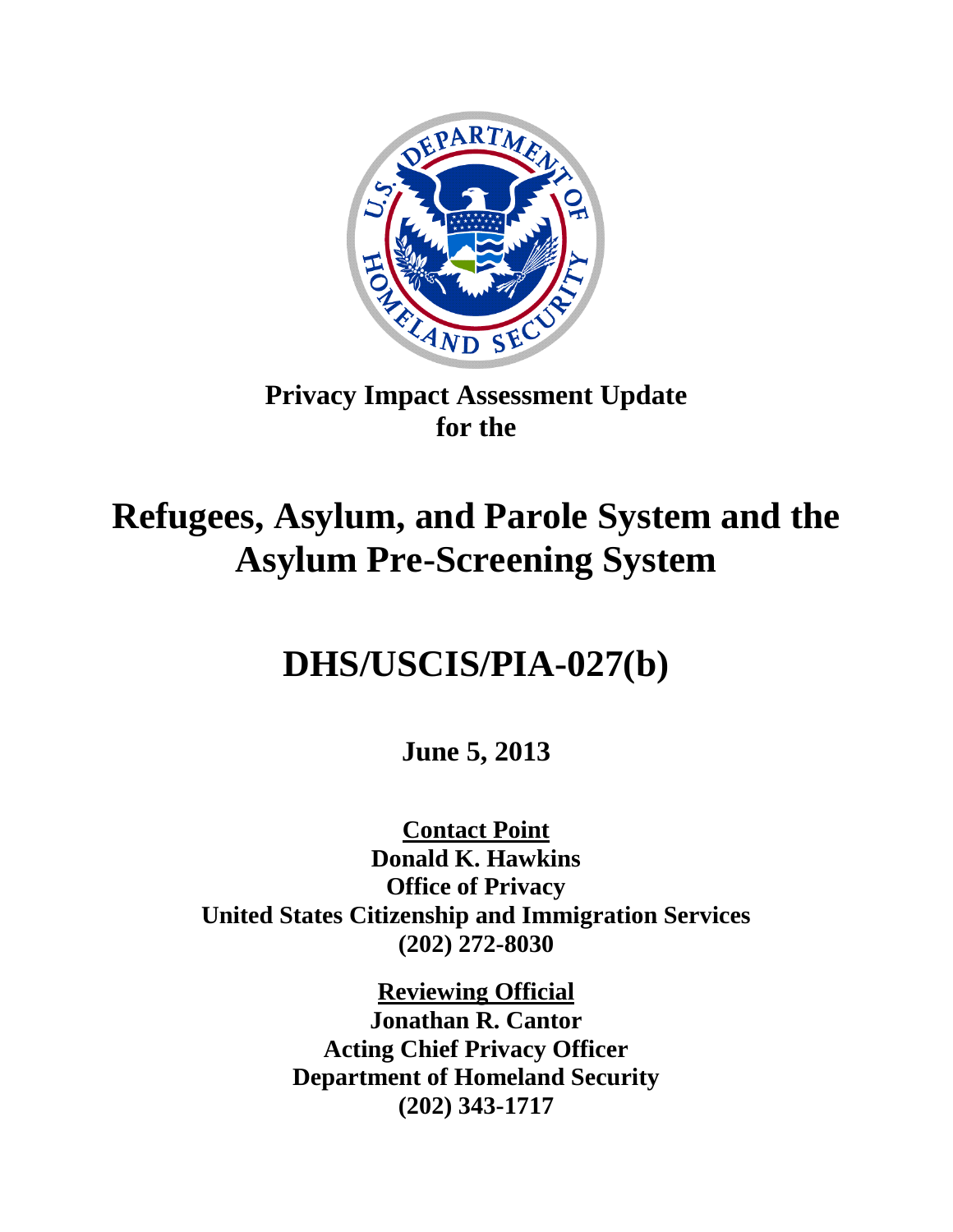

## **Privacy Impact Assessment Update for the**

# **Refugees, Asylum, and Parole System and the Asylum Pre-Screening System**

## **DHS/USCIS/PIA-027(b)**

**June 5, 2013**

**Contact Point Donald K. Hawkins Office of Privacy United States Citizenship and Immigration Services (202) 272-8030**

> **Reviewing Official Jonathan R. Cantor Acting Chief Privacy Officer Department of Homeland Security (202) 343-1717**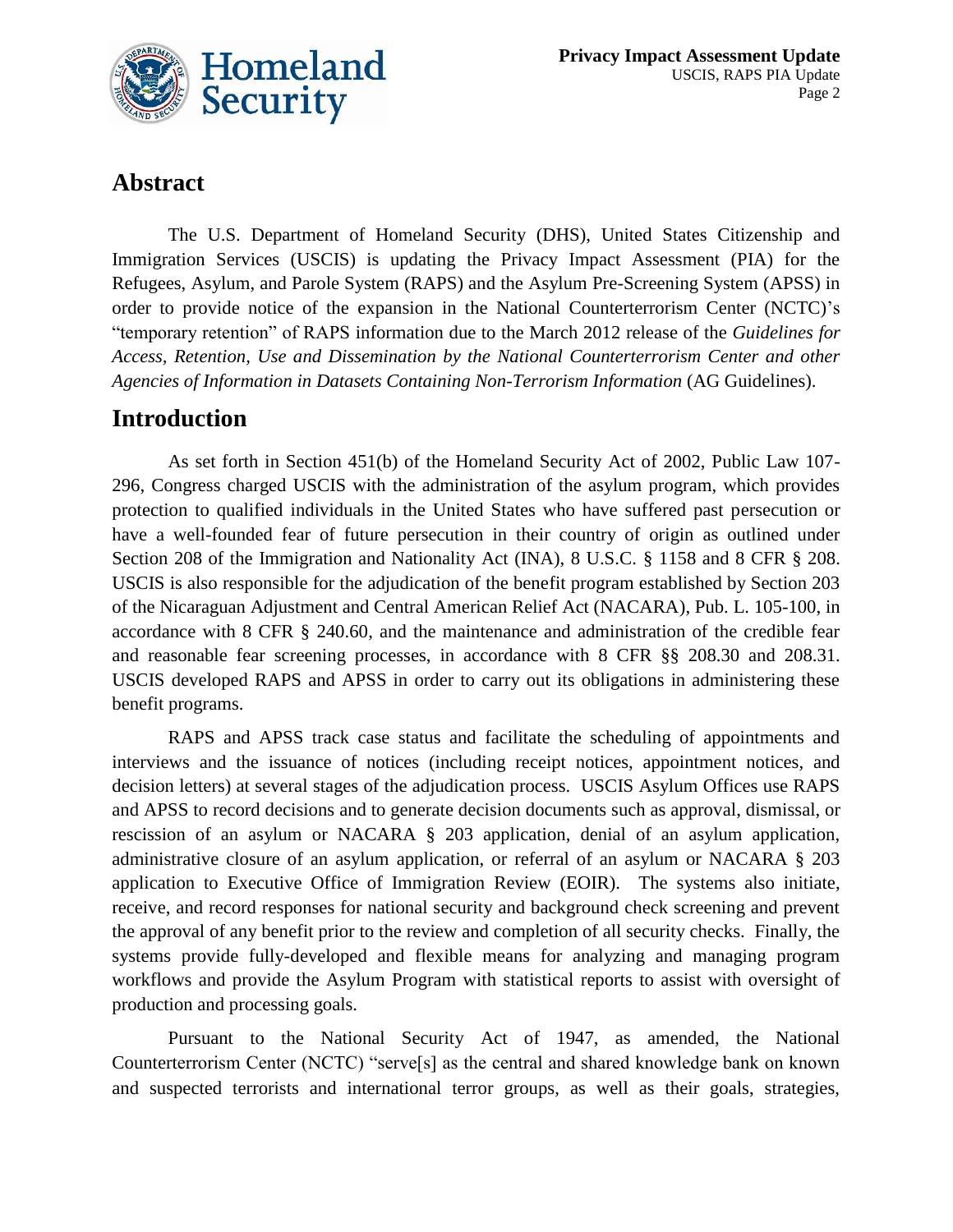

## **Abstract**

The U.S. Department of Homeland Security (DHS), United States Citizenship and Immigration Services (USCIS) is updating the Privacy Impact Assessment (PIA) for the Refugees, Asylum, and Parole System (RAPS) and the Asylum Pre-Screening System (APSS) in order to provide notice of the expansion in the National Counterterrorism Center (NCTC)'s "temporary retention" of RAPS information due to the March 2012 release of the *Guidelines for Access, Retention, Use and Dissemination by the National Counterterrorism Center and other Agencies of Information in Datasets Containing Non-Terrorism Information* (AG Guidelines).

### **Introduction**

As set forth in Section 451(b) of the Homeland Security Act of 2002, Public Law 107- 296, Congress charged USCIS with the administration of the asylum program, which provides protection to qualified individuals in the United States who have suffered past persecution or have a well-founded fear of future persecution in their country of origin as outlined under Section 208 of the Immigration and Nationality Act (INA), 8 U.S.C. § 1158 and 8 CFR § 208. USCIS is also responsible for the adjudication of the benefit program established by Section 203 of the Nicaraguan Adjustment and Central American Relief Act (NACARA), Pub. L. 105-100, in accordance with 8 CFR § 240.60, and the maintenance and administration of the credible fear and reasonable fear screening processes, in accordance with 8 CFR §§ 208.30 and 208.31. USCIS developed RAPS and APSS in order to carry out its obligations in administering these benefit programs.

RAPS and APSS track case status and facilitate the scheduling of appointments and interviews and the issuance of notices (including receipt notices, appointment notices, and decision letters) at several stages of the adjudication process. USCIS Asylum Offices use RAPS and APSS to record decisions and to generate decision documents such as approval, dismissal, or rescission of an asylum or NACARA § 203 application, denial of an asylum application, administrative closure of an asylum application, or referral of an asylum or NACARA § 203 application to Executive Office of Immigration Review (EOIR). The systems also initiate, receive, and record responses for national security and background check screening and prevent the approval of any benefit prior to the review and completion of all security checks. Finally, the systems provide fully-developed and flexible means for analyzing and managing program workflows and provide the Asylum Program with statistical reports to assist with oversight of production and processing goals.

Pursuant to the National Security Act of 1947, as amended, the National Counterterrorism Center (NCTC) "serve[s] as the central and shared knowledge bank on known and suspected terrorists and international terror groups, as well as their goals, strategies,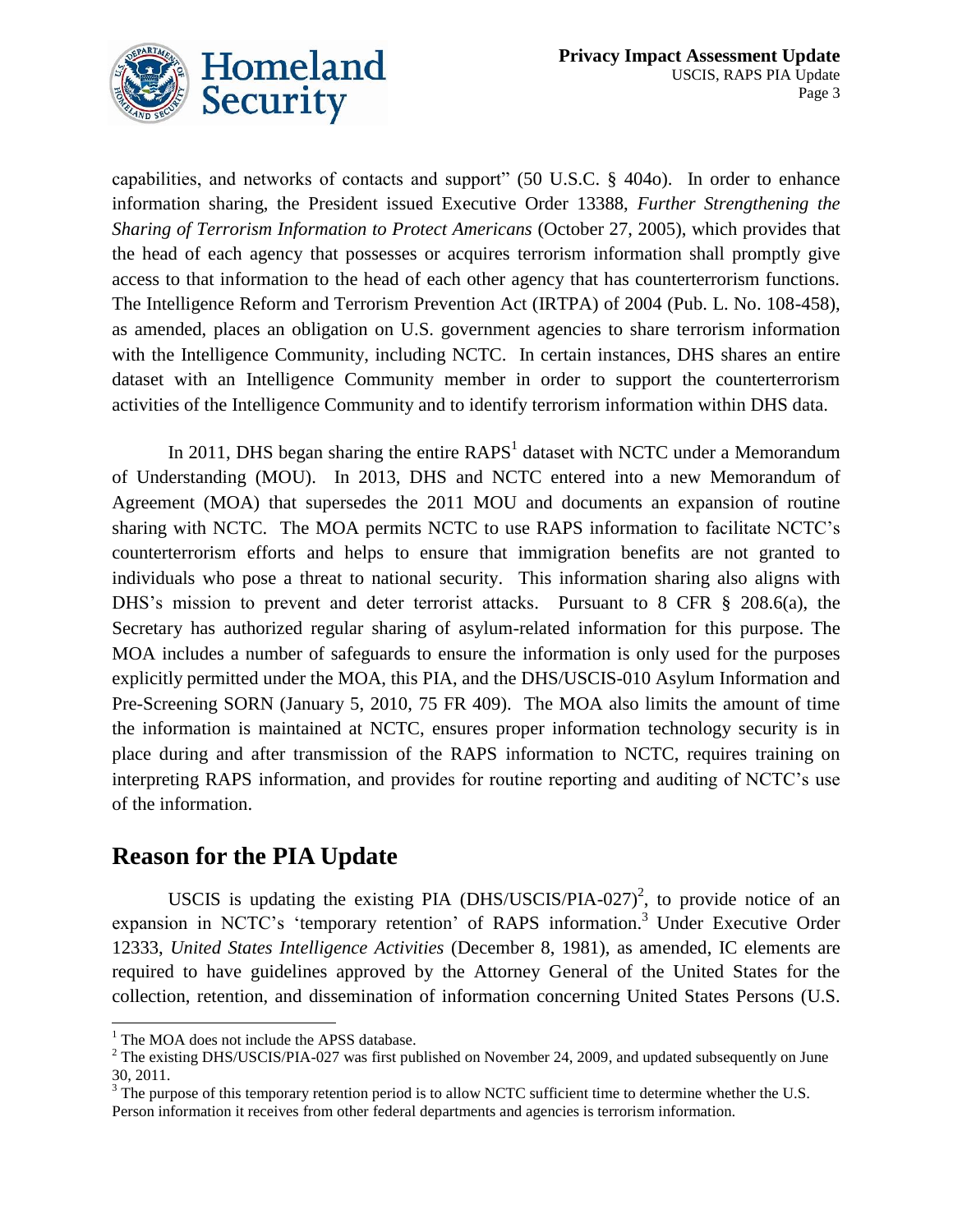

capabilities, and networks of contacts and support" (50 U.S.C. § 404o). In order to enhance information sharing, the President issued Executive Order 13388, *Further Strengthening the Sharing of Terrorism Information to Protect Americans* (October 27, 2005), which provides that the head of each agency that possesses or acquires terrorism information shall promptly give access to that information to the head of each other agency that has counterterrorism functions. The Intelligence Reform and Terrorism Prevention Act (IRTPA) of 2004 (Pub. L. No. 108-458), as amended, places an obligation on U.S. government agencies to share terrorism information with the Intelligence Community, including NCTC. In certain instances, DHS shares an entire dataset with an Intelligence Community member in order to support the counterterrorism activities of the Intelligence Community and to identify terrorism information within DHS data.

In 2011, DHS began sharing the entire  $RAPS<sup>1</sup>$  dataset with NCTC under a Memorandum of Understanding (MOU). In 2013, DHS and NCTC entered into a new Memorandum of Agreement (MOA) that supersedes the 2011 MOU and documents an expansion of routine sharing with NCTC. The MOA permits NCTC to use RAPS information to facilitate NCTC's counterterrorism efforts and helps to ensure that immigration benefits are not granted to individuals who pose a threat to national security. This information sharing also aligns with DHS's mission to prevent and deter terrorist attacks. Pursuant to 8 CFR § 208.6(a), the Secretary has authorized regular sharing of asylum-related information for this purpose. The MOA includes a number of safeguards to ensure the information is only used for the purposes explicitly permitted under the MOA, this PIA, and the DHS/USCIS-010 Asylum Information and Pre-Screening SORN (January 5, 2010, 75 FR 409). The MOA also limits the amount of time the information is maintained at NCTC, ensures proper information technology security is in place during and after transmission of the RAPS information to NCTC, requires training on interpreting RAPS information, and provides for routine reporting and auditing of NCTC's use of the information.

### **Reason for the PIA Update**

USCIS is updating the existing PIA (DHS/USCIS/PIA-027)<sup>2</sup>, to provide notice of an expansion in NCTC's 'temporary retention' of RAPS information. <sup>3</sup> Under Executive Order 12333, *United States Intelligence Activities* (December 8, 1981), as amended, IC elements are required to have guidelines approved by the Attorney General of the United States for the collection, retention, and dissemination of information concerning United States Persons (U.S.

 $\overline{a}$ <sup>1</sup> The MOA does not include the APSS database.

 $2$  The existing DHS/USCIS/PIA-027 was first published on November 24, 2009, and updated subsequently on June 30, 2011.

 $3^3$  The purpose of this temporary retention period is to allow NCTC sufficient time to determine whether the U.S. Person information it receives from other federal departments and agencies is terrorism information.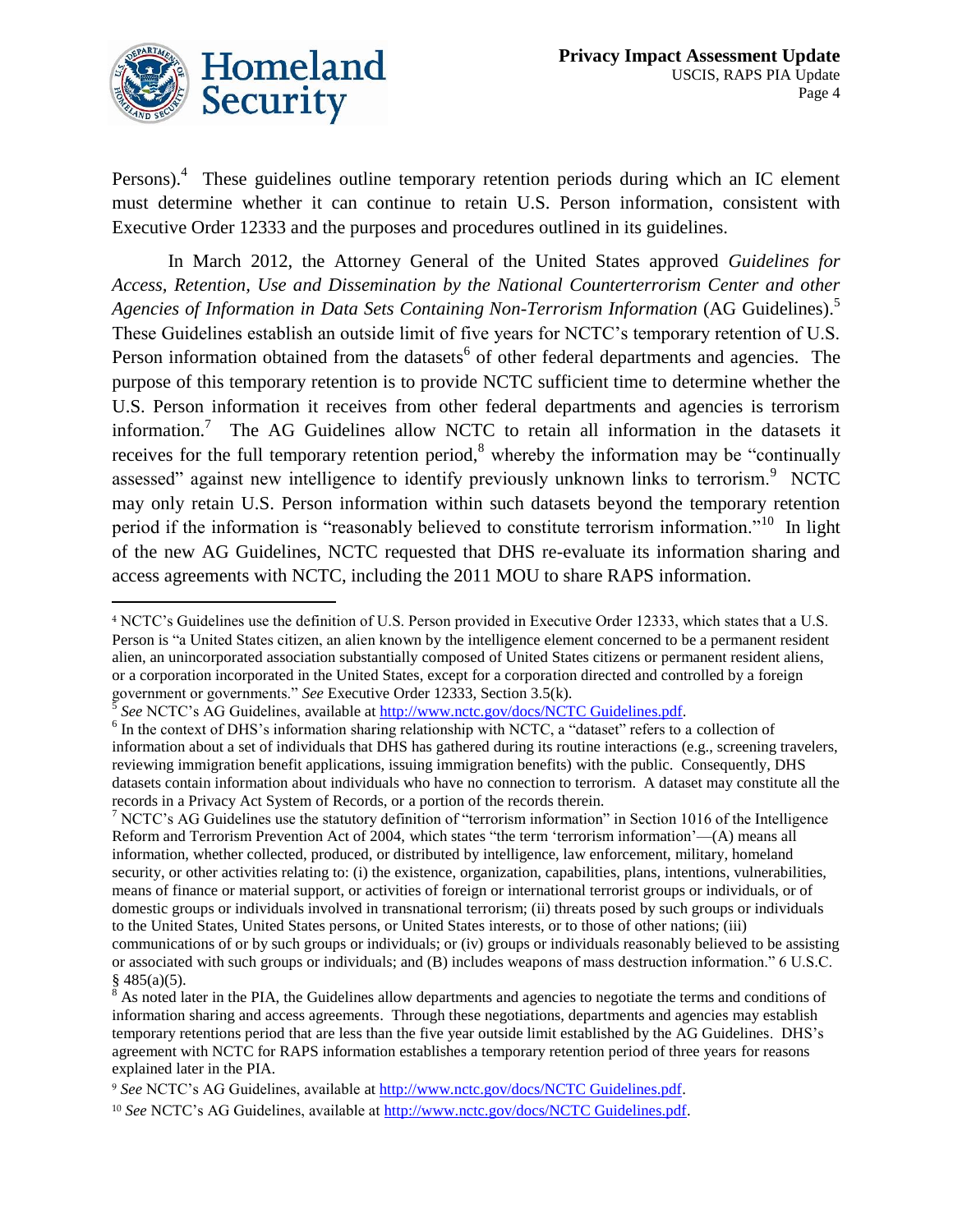

Persons).<sup>4</sup> These guidelines outline temporary retention periods during which an IC element must determine whether it can continue to retain U.S. Person information, consistent with Executive Order 12333 and the purposes and procedures outlined in its guidelines.

In March 2012, the Attorney General of the United States approved *Guidelines for Access, Retention, Use and Dissemination by the National Counterterrorism Center and other Agencies of Information in Data Sets Containing Non-Terrorism Information* (AG Guidelines).<sup>5</sup> These Guidelines establish an outside limit of five years for NCTC's temporary retention of U.S. Person information obtained from the datasets<sup>6</sup> of other federal departments and agencies. The purpose of this temporary retention is to provide NCTC sufficient time to determine whether the U.S. Person information it receives from other federal departments and agencies is terrorism information.<sup>7</sup> The AG Guidelines allow NCTC to retain all information in the datasets it receives for the full temporary retention period,<sup>8</sup> whereby the information may be "continually assessed" against new intelligence to identify previously unknown links to terrorism.<sup>9</sup> NCTC may only retain U.S. Person information within such datasets beyond the temporary retention period if the information is "reasonably believed to constitute terrorism information."<sup>10</sup> In light of the new AG Guidelines, NCTC requested that DHS re-evaluate its information sharing and access agreements with NCTC, including the 2011 MOU to share RAPS information.

<sup>7</sup> NCTC's AG Guidelines use the statutory definition of "terrorism information" in Section 1016 of the Intelligence Reform and Terrorism Prevention Act of 2004, which states "the term 'terrorism information'—(A) means all information, whether collected, produced, or distributed by intelligence, law enforcement, military, homeland security, or other activities relating to: (i) the existence, organization, capabilities, plans, intentions, vulnerabilities, means of finance or material support, or activities of foreign or international terrorist groups or individuals, or of domestic groups or individuals involved in transnational terrorism; (ii) threats posed by such groups or individuals to the United States, United States persons, or United States interests, or to those of other nations; (iii) communications of or by such groups or individuals; or (iv) groups or individuals reasonably believed to be assisting or associated with such groups or individuals; and (B) includes weapons of mass destruction information." 6 U.S.C.

 $\overline{a}$ 

<sup>4</sup> NCTC's Guidelines use the definition of U.S. Person provided in Executive Order 12333, which states that a U.S. Person is "a United States citizen, an alien known by the intelligence element concerned to be a permanent resident alien, an unincorporated association substantially composed of United States citizens or permanent resident aliens, or a corporation incorporated in the United States, except for a corporation directed and controlled by a foreign government or governments." *See* Executive Order 12333, Section 3.5(k).

<sup>5</sup> *See* NCTC's AG Guidelines, available at [http://www.nctc.gov/docs/NCTC Guidelines.pdf.](http://www.nctc.gov/docs/NCTC%20Guidelines.pdf)

<sup>&</sup>lt;sup>6</sup> In the context of DHS's information sharing relationship with NCTC, a "dataset" refers to a collection of information about a set of individuals that DHS has gathered during its routine interactions (e.g., screening travelers, reviewing immigration benefit applications, issuing immigration benefits) with the public. Consequently, DHS datasets contain information about individuals who have no connection to terrorism. A dataset may constitute all the records in a Privacy Act System of Records, or a portion of the records therein.

 $§$  485(a)(5).

 $8$  As noted later in the PIA, the Guidelines allow departments and agencies to negotiate the terms and conditions of information sharing and access agreements. Through these negotiations, departments and agencies may establish temporary retentions period that are less than the five year outside limit established by the AG Guidelines. DHS's agreement with NCTC for RAPS information establishes a temporary retention period of three years for reasons explained later in the PIA.

<sup>9</sup> *See* NCTC's AG Guidelines, available at [http://www.nctc.gov/docs/NCTC Guidelines.pdf.](http://www.nctc.gov/docs/NCTC%20Guidelines.pdf)

<sup>10</sup> *See* NCTC's AG Guidelines, available at [http://www.nctc.gov/docs/NCTC Guidelines.pdf.](http://www.nctc.gov/docs/NCTC%20Guidelines.pdf)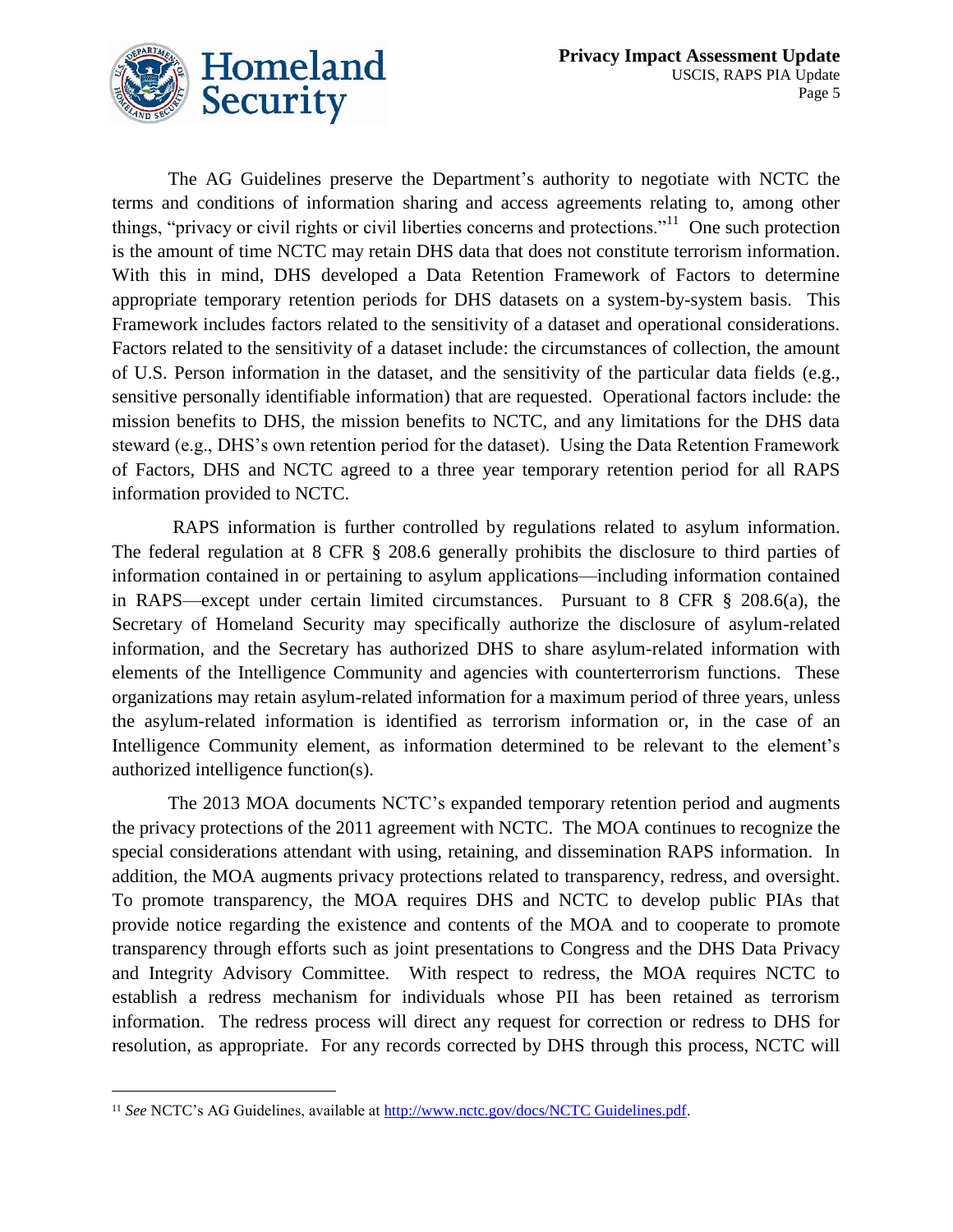

The AG Guidelines preserve the Department's authority to negotiate with NCTC the terms and conditions of information sharing and access agreements relating to, among other things, "privacy or civil rights or civil liberties concerns and protections."<sup>11</sup> One such protection is the amount of time NCTC may retain DHS data that does not constitute terrorism information. With this in mind, DHS developed a Data Retention Framework of Factors to determine appropriate temporary retention periods for DHS datasets on a system-by-system basis. This Framework includes factors related to the sensitivity of a dataset and operational considerations. Factors related to the sensitivity of a dataset include: the circumstances of collection, the amount of U.S. Person information in the dataset, and the sensitivity of the particular data fields (e.g., sensitive personally identifiable information) that are requested. Operational factors include: the mission benefits to DHS, the mission benefits to NCTC, and any limitations for the DHS data steward (e.g., DHS's own retention period for the dataset). Using the Data Retention Framework of Factors, DHS and NCTC agreed to a three year temporary retention period for all RAPS information provided to NCTC.

RAPS information is further controlled by regulations related to asylum information. The federal regulation at 8 CFR § 208.6 generally prohibits the disclosure to third parties of information contained in or pertaining to asylum applications—including information contained in RAPS—except under certain limited circumstances. Pursuant to 8 CFR § 208.6(a), the Secretary of Homeland Security may specifically authorize the disclosure of asylum-related information, and the Secretary has authorized DHS to share asylum-related information with elements of the Intelligence Community and agencies with counterterrorism functions. These organizations may retain asylum-related information for a maximum period of three years, unless the asylum-related information is identified as terrorism information or, in the case of an Intelligence Community element, as information determined to be relevant to the element's authorized intelligence function(s).

The 2013 MOA documents NCTC's expanded temporary retention period and augments the privacy protections of the 2011 agreement with NCTC. The MOA continues to recognize the special considerations attendant with using, retaining, and dissemination RAPS information. In addition, the MOA augments privacy protections related to transparency, redress, and oversight. To promote transparency, the MOA requires DHS and NCTC to develop public PIAs that provide notice regarding the existence and contents of the MOA and to cooperate to promote transparency through efforts such as joint presentations to Congress and the DHS Data Privacy and Integrity Advisory Committee. With respect to redress, the MOA requires NCTC to establish a redress mechanism for individuals whose PII has been retained as terrorism information. The redress process will direct any request for correction or redress to DHS for resolution, as appropriate. For any records corrected by DHS through this process, NCTC will

1

<sup>11</sup> *See* NCTC's AG Guidelines, available at [http://www.nctc.gov/docs/NCTC Guidelines.pdf.](http://www.nctc.gov/docs/NCTC%20Guidelines.pdf)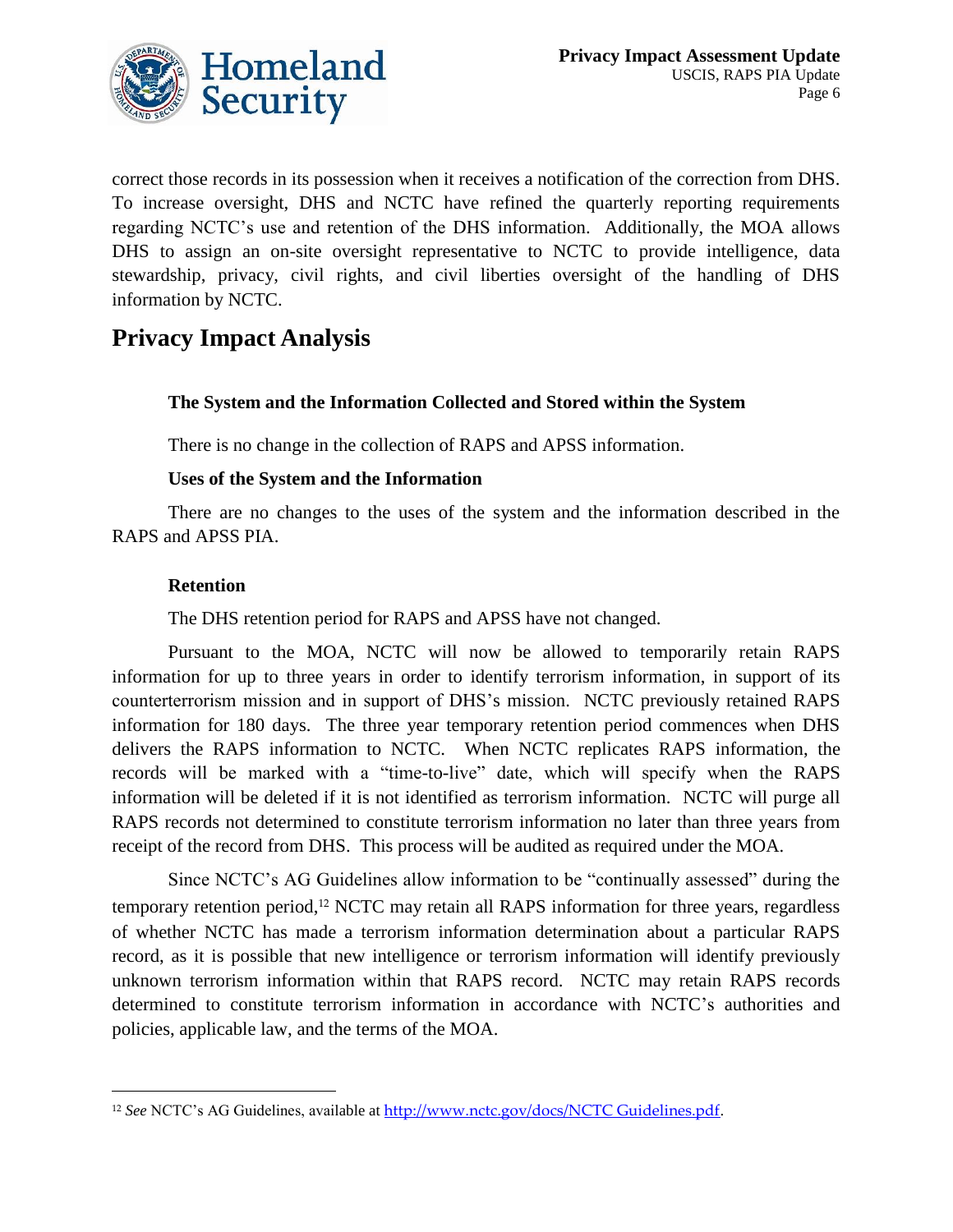

correct those records in its possession when it receives a notification of the correction from DHS. To increase oversight, DHS and NCTC have refined the quarterly reporting requirements regarding NCTC's use and retention of the DHS information. Additionally, the MOA allows DHS to assign an on-site oversight representative to NCTC to provide intelligence, data stewardship, privacy, civil rights, and civil liberties oversight of the handling of DHS information by NCTC.

## **Privacy Impact Analysis**

#### **The System and the Information Collected and Stored within the System**

There is no change in the collection of RAPS and APSS information.

#### **Uses of the System and the Information**

There are no changes to the uses of the system and the information described in the RAPS and APSS PIA.

#### **Retention**

1

The DHS retention period for RAPS and APSS have not changed.

Pursuant to the MOA, NCTC will now be allowed to temporarily retain RAPS information for up to three years in order to identify terrorism information, in support of its counterterrorism mission and in support of DHS's mission. NCTC previously retained RAPS information for 180 days. The three year temporary retention period commences when DHS delivers the RAPS information to NCTC. When NCTC replicates RAPS information, the records will be marked with a "time-to-live" date, which will specify when the RAPS information will be deleted if it is not identified as terrorism information. NCTC will purge all RAPS records not determined to constitute terrorism information no later than three years from receipt of the record from DHS. This process will be audited as required under the MOA.

Since NCTC's AG Guidelines allow information to be "continually assessed" during the temporary retention period,<sup>12</sup> NCTC may retain all RAPS information for three years, regardless of whether NCTC has made a terrorism information determination about a particular RAPS record, as it is possible that new intelligence or terrorism information will identify previously unknown terrorism information within that RAPS record. NCTC may retain RAPS records determined to constitute terrorism information in accordance with NCTC's authorities and policies, applicable law, and the terms of the MOA.

<sup>12</sup> *See* NCTC's AG Guidelines, available at [http://www.nctc.gov/docs/NCTC Guidelines.pdf](http://www.nctc.gov/docs/NCTC%20Guidelines.pdf).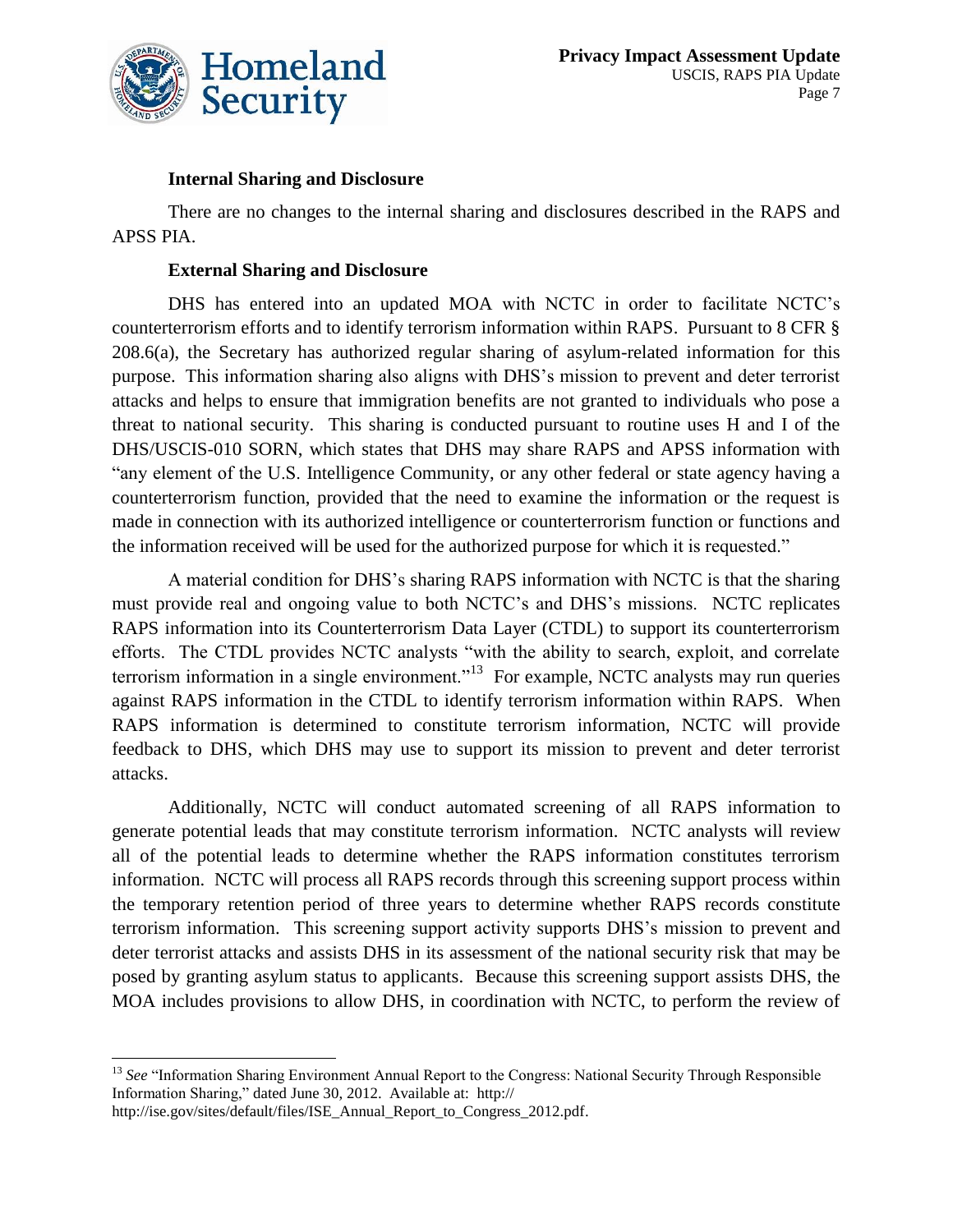

#### **Internal Sharing and Disclosure**

There are no changes to the internal sharing and disclosures described in the RAPS and APSS PIA.

#### **External Sharing and Disclosure**

DHS has entered into an updated MOA with NCTC in order to facilitate NCTC's counterterrorism efforts and to identify terrorism information within RAPS. Pursuant to 8 CFR § 208.6(a), the Secretary has authorized regular sharing of asylum-related information for this purpose. This information sharing also aligns with DHS's mission to prevent and deter terrorist attacks and helps to ensure that immigration benefits are not granted to individuals who pose a threat to national security. This sharing is conducted pursuant to routine uses H and I of the DHS/USCIS-010 SORN, which states that DHS may share RAPS and APSS information with "any element of the U.S. Intelligence Community, or any other federal or state agency having a counterterrorism function, provided that the need to examine the information or the request is made in connection with its authorized intelligence or counterterrorism function or functions and the information received will be used for the authorized purpose for which it is requested."

A material condition for DHS's sharing RAPS information with NCTC is that the sharing must provide real and ongoing value to both NCTC's and DHS's missions. NCTC replicates RAPS information into its Counterterrorism Data Layer (CTDL) to support its counterterrorism efforts. The CTDL provides NCTC analysts "with the ability to search, exploit, and correlate terrorism information in a single environment."<sup>13</sup> For example, NCTC analysts may run queries against RAPS information in the CTDL to identify terrorism information within RAPS. When RAPS information is determined to constitute terrorism information, NCTC will provide feedback to DHS, which DHS may use to support its mission to prevent and deter terrorist attacks.

Additionally, NCTC will conduct automated screening of all RAPS information to generate potential leads that may constitute terrorism information. NCTC analysts will review all of the potential leads to determine whether the RAPS information constitutes terrorism information. NCTC will process all RAPS records through this screening support process within the temporary retention period of three years to determine whether RAPS records constitute terrorism information. This screening support activity supports DHS's mission to prevent and deter terrorist attacks and assists DHS in its assessment of the national security risk that may be posed by granting asylum status to applicants. Because this screening support assists DHS, the MOA includes provisions to allow DHS, in coordination with NCTC, to perform the review of

 $\overline{a}$ <sup>13</sup> See "Information Sharing Environment Annual Report to the Congress: National Security Through Responsible Information Sharing," dated June 30, 2012. Available at: http://

http://ise.gov/sites/default/files/ISE\_Annual\_Report\_to\_Congress\_2012.pdf.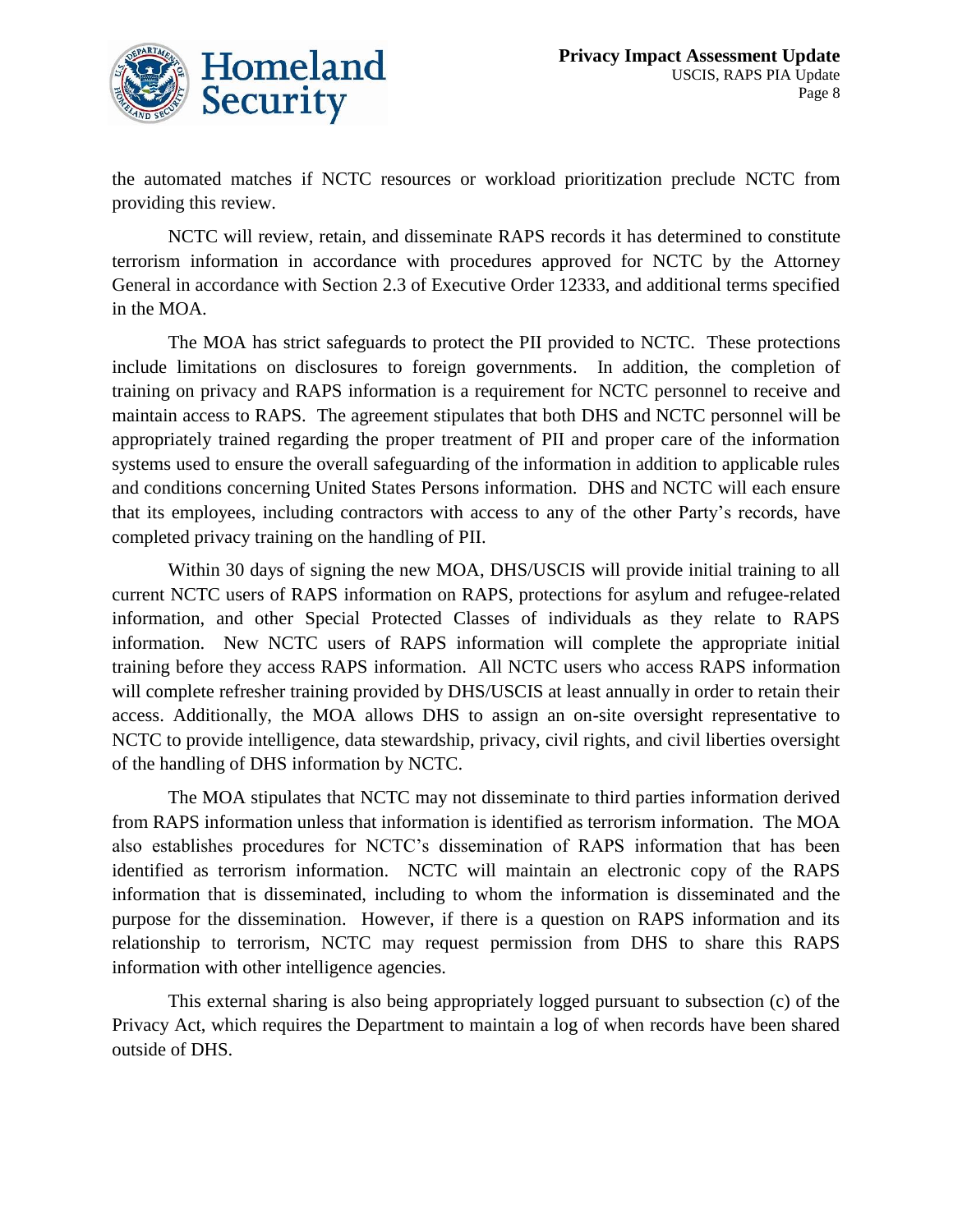

the automated matches if NCTC resources or workload prioritization preclude NCTC from providing this review.

NCTC will review, retain, and disseminate RAPS records it has determined to constitute terrorism information in accordance with procedures approved for NCTC by the Attorney General in accordance with Section 2.3 of Executive Order 12333, and additional terms specified in the MOA.

The MOA has strict safeguards to protect the PII provided to NCTC. These protections include limitations on disclosures to foreign governments. In addition, the completion of training on privacy and RAPS information is a requirement for NCTC personnel to receive and maintain access to RAPS. The agreement stipulates that both DHS and NCTC personnel will be appropriately trained regarding the proper treatment of PII and proper care of the information systems used to ensure the overall safeguarding of the information in addition to applicable rules and conditions concerning United States Persons information. DHS and NCTC will each ensure that its employees, including contractors with access to any of the other Party's records, have completed privacy training on the handling of PII.

Within 30 days of signing the new MOA, DHS/USCIS will provide initial training to all current NCTC users of RAPS information on RAPS, protections for asylum and refugee-related information, and other Special Protected Classes of individuals as they relate to RAPS information. New NCTC users of RAPS information will complete the appropriate initial training before they access RAPS information. All NCTC users who access RAPS information will complete refresher training provided by DHS/USCIS at least annually in order to retain their access. Additionally, the MOA allows DHS to assign an on-site oversight representative to NCTC to provide intelligence, data stewardship, privacy, civil rights, and civil liberties oversight of the handling of DHS information by NCTC.

The MOA stipulates that NCTC may not disseminate to third parties information derived from RAPS information unless that information is identified as terrorism information. The MOA also establishes procedures for NCTC's dissemination of RAPS information that has been identified as terrorism information. NCTC will maintain an electronic copy of the RAPS information that is disseminated, including to whom the information is disseminated and the purpose for the dissemination. However, if there is a question on RAPS information and its relationship to terrorism, NCTC may request permission from DHS to share this RAPS information with other intelligence agencies.

This external sharing is also being appropriately logged pursuant to subsection (c) of the Privacy Act, which requires the Department to maintain a log of when records have been shared outside of DHS.